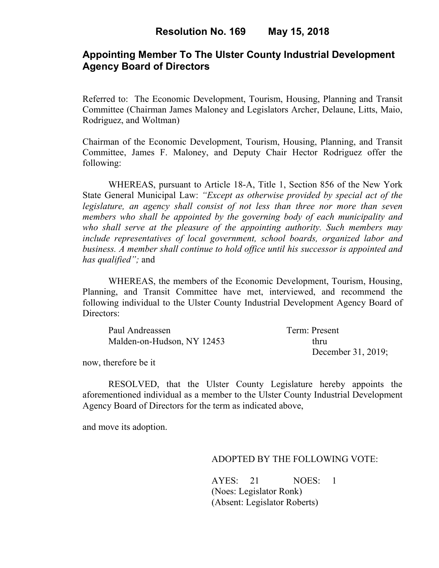## **Appointing Member To The Ulster County Industrial Development Agency Board of Directors**

Referred to: The Economic Development, Tourism, Housing, Planning and Transit Committee (Chairman James Maloney and Legislators Archer, Delaune, Litts, Maio, Rodriguez, and Woltman)

Chairman of the Economic Development, Tourism, Housing, Planning, and Transit Committee, James F. Maloney, and Deputy Chair Hector Rodriguez offer the following:

WHEREAS, pursuant to Article 18-A, Title 1, Section 856 of the New York State General Municipal Law: *"Except as otherwise provided by special act of the legislature, an agency shall consist of not less than three nor more than seven members who shall be appointed by the governing body of each municipality and who shall serve at the pleasure of the appointing authority. Such members may include representatives of local government, school boards, organized labor and business. A member shall continue to hold office until his successor is appointed and has qualified";* and

WHEREAS, the members of the Economic Development, Tourism, Housing, Planning, and Transit Committee have met, interviewed, and recommend the following individual to the Ulster County Industrial Development Agency Board of Directors:

| Paul Andreassen            | Term: Present      |
|----------------------------|--------------------|
| Malden-on-Hudson, NY 12453 | thru               |
|                            | December 31, 2019; |

now, therefore be it

RESOLVED, that the Ulster County Legislature hereby appoints the aforementioned individual as a member to the Ulster County Industrial Development Agency Board of Directors for the term as indicated above,

and move its adoption.

#### ADOPTED BY THE FOLLOWING VOTE:

AYES: 21 NOES: 1 (Noes: Legislator Ronk) (Absent: Legislator Roberts)